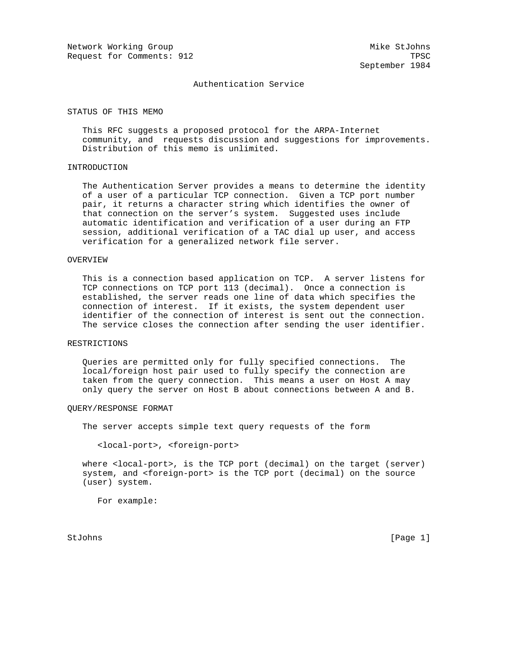Network Working Group Mike StJohns Request for Comments: 912 TPSC

September 1984

### Authentication Service

#### STATUS OF THIS MEMO

 This RFC suggests a proposed protocol for the ARPA-Internet community, and requests discussion and suggestions for improvements. Distribution of this memo is unlimited.

# INTRODUCTION

 The Authentication Server provides a means to determine the identity of a user of a particular TCP connection. Given a TCP port number pair, it returns a character string which identifies the owner of that connection on the server's system. Suggested uses include automatic identification and verification of a user during an FTP session, additional verification of a TAC dial up user, and access verification for a generalized network file server.

#### OVERVIEW

 This is a connection based application on TCP. A server listens for TCP connections on TCP port 113 (decimal). Once a connection is established, the server reads one line of data which specifies the connection of interest. If it exists, the system dependent user identifier of the connection of interest is sent out the connection. The service closes the connection after sending the user identifier.

# RESTRICTIONS

 Queries are permitted only for fully specified connections. The local/foreign host pair used to fully specify the connection are taken from the query connection. This means a user on Host A may only query the server on Host B about connections between A and B.

#### QUERY/RESPONSE FORMAT

The server accepts simple text query requests of the form

<local-port>, <foreign-port>

 where <local-port>, is the TCP port (decimal) on the target (server) system, and <foreign-port> is the TCP port (decimal) on the source (user) system.

For example:

StJohns [Page 1]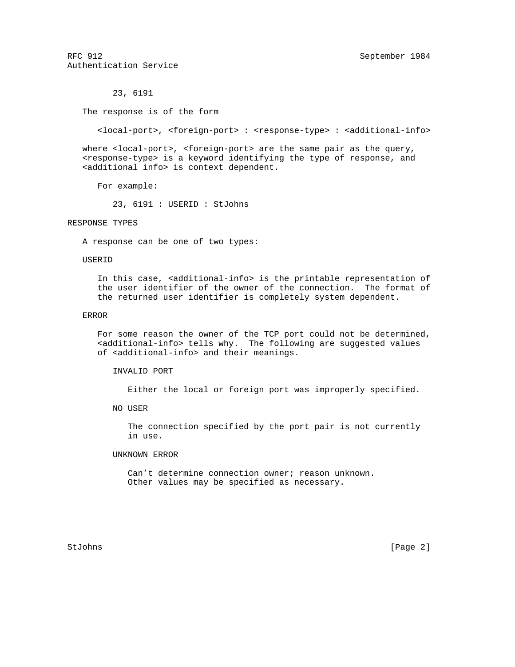RFC 912 September 1984 Authentication Service

23, 6191

The response is of the form

<local-port>, <foreign-port> : <response-type> : <additional-info>

 where <local-port>, <foreign-port> are the same pair as the query, <response-type> is a keyword identifying the type of response, and <additional info> is context dependent.

For example:

23, 6191 : USERID : StJohns

# RESPONSE TYPES

A response can be one of two types:

### USERID

 In this case, <additional-info> is the printable representation of the user identifier of the owner of the connection. The format of the returned user identifier is completely system dependent.

### ERROR

 For some reason the owner of the TCP port could not be determined, <additional-info> tells why. The following are suggested values of <additional-info> and their meanings.

INVALID PORT

Either the local or foreign port was improperly specified.

NO USER

 The connection specified by the port pair is not currently in use.

## UNKNOWN ERROR

 Can't determine connection owner; reason unknown. Other values may be specified as necessary.

StJohns [Page 2]